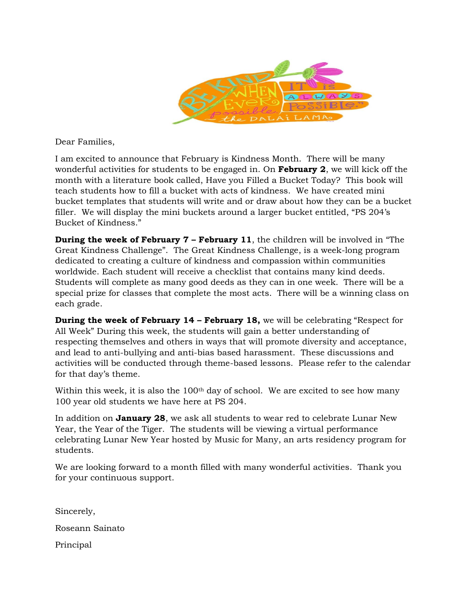

Dear Families,

I am excited to announce that February is Kindness Month. There will be many wonderful activities for students to be engaged in. On **February 2**, we will kick off the month with a literature book called, Have you Filled a Bucket Today? This book will teach students how to fill a bucket with acts of kindness. We have created mini bucket templates that students will write and or draw about how they can be a bucket filler. We will display the mini buckets around a larger bucket entitled, "PS 204's Bucket of Kindness."

**During the week of February 7 – February 11**, the children will be involved in "The Great Kindness Challenge". The Great Kindness Challenge, is a week-long program dedicated to creating a culture of kindness and compassion within communities worldwide. Each student will receive a checklist that contains many kind deeds. Students will complete as many good deeds as they can in one week. There will be a special prize for classes that complete the most acts. There will be a winning class on each grade.

**During the week of February 14 – February 18,** we will be celebrating "Respect for All Week" During this week, the students will gain a better understanding of respecting themselves and others in ways that will promote diversity and acceptance, and lead to anti-bullying and anti-bias based harassment. These discussions and activities will be conducted through theme-based lessons. Please refer to the calendar for that day's theme.

Within this week, it is also the  $100<sup>th</sup>$  day of school. We are excited to see how many 100 year old students we have here at PS 204.

In addition on **January 28**, we ask all students to wear red to celebrate Lunar New Year, the Year of the Tiger. The students will be viewing a virtual performance celebrating Lunar New Year hosted by Music for Many, an arts residency program for students.

We are looking forward to a month filled with many wonderful activities. Thank you for your continuous support.

Sincerely, Roseann Sainato Principal